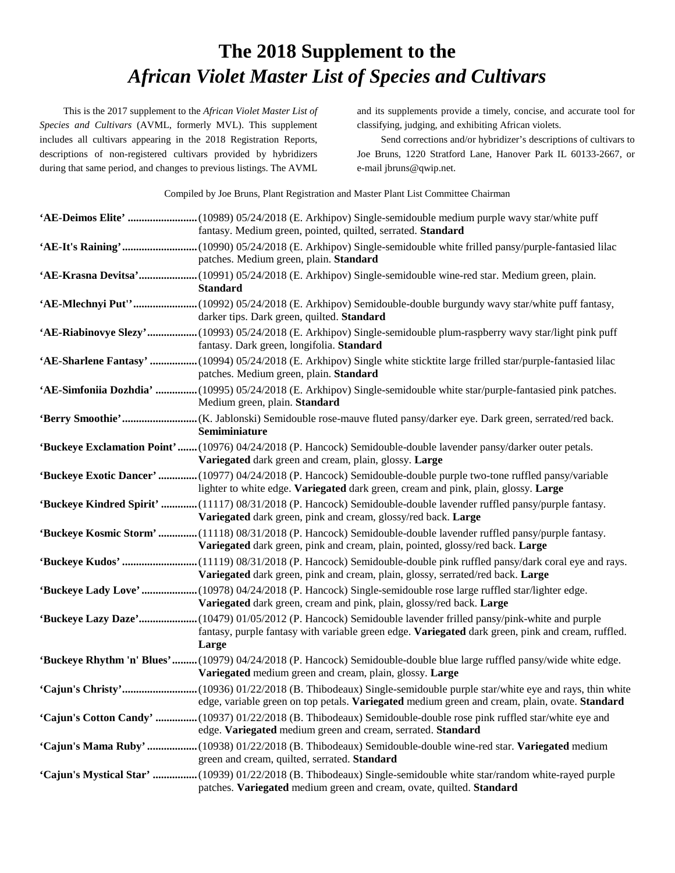## **The 2018 Supplement to the**  *African Violet Master List of Species and Cultivars*

This is the 2017 supplement to the *African Violet Master List of Species and Cultivars* (AVML, formerly MVL). This supplement includes all cultivars appearing in the 2018 Registration Reports, descriptions of non-registered cultivars provided by hybridizers during that same period, and changes to previous listings. The AVML and its supplements provide a timely, concise, and accurate tool for classifying, judging, and exhibiting African violets.

Send corrections and/or hybridizer's descriptions of cultivars to Joe Bruns, 1220 Stratford Lane, Hanover Park IL 60133-2667, or e-mail jbruns@qwip.net.

Compiled by Joe Bruns, Plant Registration and Master Plant List Committee Chairman

| 'AE-Deimos Elite' (10989) 05/24/2018 (E. Arkhipov) Single-semidouble medium purple wavy star/white puff<br>fantasy. Medium green, pointed, quilted, serrated. Standard                                                   |
|--------------------------------------------------------------------------------------------------------------------------------------------------------------------------------------------------------------------------|
| patches. Medium green, plain. Standard                                                                                                                                                                                   |
| <b>Standard</b>                                                                                                                                                                                                          |
| 'AE-Mlechnyi Put''(10992) 05/24/2018 (E. Arkhipov) Semidouble-double burgundy wavy star/white puff fantasy,<br>darker tips. Dark green, quilted. Standard                                                                |
| 'AE-Riabinovye Slezy'(10993) 05/24/2018 (E. Arkhipov) Single-semidouble plum-raspberry wavy star/light pink puff<br>fantasy. Dark green, longifolia. Standard                                                            |
| 'AE-Sharlene Fantasy' (10994) 05/24/2018 (E. Arkhipov) Single white sticktite large frilled star/purple-fantasied lilac<br>patches. Medium green, plain. Standard                                                        |
| 'AE-Simfoniia Dozhdia'  (10995) 05/24/2018 (E. Arkhipov) Single-semidouble white star/purple-fantasied pink patches.<br>Medium green, plain. Standard                                                                    |
| Semiminiature                                                                                                                                                                                                            |
| 'Buckeye Exclamation Point'(10976) 04/24/2018 (P. Hancock) Semidouble-double lavender pansy/darker outer petals.<br>Variegated dark green and cream, plain, glossy. Large                                                |
| 'Buckeye Exotic Dancer' (10977) 04/24/2018 (P. Hancock) Semidouble-double purple two-tone ruffled pansy/variable<br>lighter to white edge. Variegated dark green, cream and pink, plain, glossy. Large                   |
| 'Buckeye Kindred Spirit' (11117) 08/31/2018 (P. Hancock) Semidouble-double lavender ruffled pansy/purple fantasy.<br>Variegated dark green, pink and cream, glossy/red back. Large                                       |
| 'Buckeye Kosmic Storm' (11118) 08/31/2018 (P. Hancock) Semidouble-double lavender ruffled pansy/purple fantasy.<br>Variegated dark green, pink and cream, plain, pointed, glossy/red back. Large                         |
| 'Buckeye Kudos' (11119) 08/31/2018 (P. Hancock) Semidouble-double pink ruffled pansy/dark coral eye and rays.<br>Variegated dark green, pink and cream, plain, glossy, serrated/red back. Large                          |
| 'Buckeye Lady Love'  (10978) 04/24/2018 (P. Hancock) Single-semidouble rose large ruffled star/lighter edge.<br>Variegated dark green, cream and pink, plain, glossy/red back. Large                                     |
| 'Buckeye Lazy Daze'(10479) 01/05/2012 (P. Hancock) Semidouble lavender frilled pansy/pink-white and purple<br>fantasy, purple fantasy with variable green edge. Variegated dark green, pink and cream, ruffled.<br>Large |
| 'Buckeye Rhythm 'n' Blues'(10979) 04/24/2018 (P. Hancock) Semidouble-double blue large ruffled pansy/wide white edge.<br>Variegated medium green and cream, plain, glossy. Large                                         |
| edge, variable green on top petals. Variegated medium green and cream, plain, ovate. Standard                                                                                                                            |
| 'Cajun's Cotton Candy'  (10937) 01/22/2018 (B. Thibodeaux) Semidouble-double rose pink ruffled star/white eye and<br>edge. Variegated medium green and cream, serrated. Standard                                         |
| 'Cajun's Mama Ruby'  (10938) 01/22/2018 (B. Thibodeaux) Semidouble-double wine-red star. Variegated medium<br>green and cream, quilted, serrated. Standard                                                               |
| 'Cajun's Mystical Star'  (10939) 01/22/2018 (B. Thibodeaux) Single-semidouble white star/random white-rayed purple<br>patches. Variegated medium green and cream, ovate, quilted. Standard                               |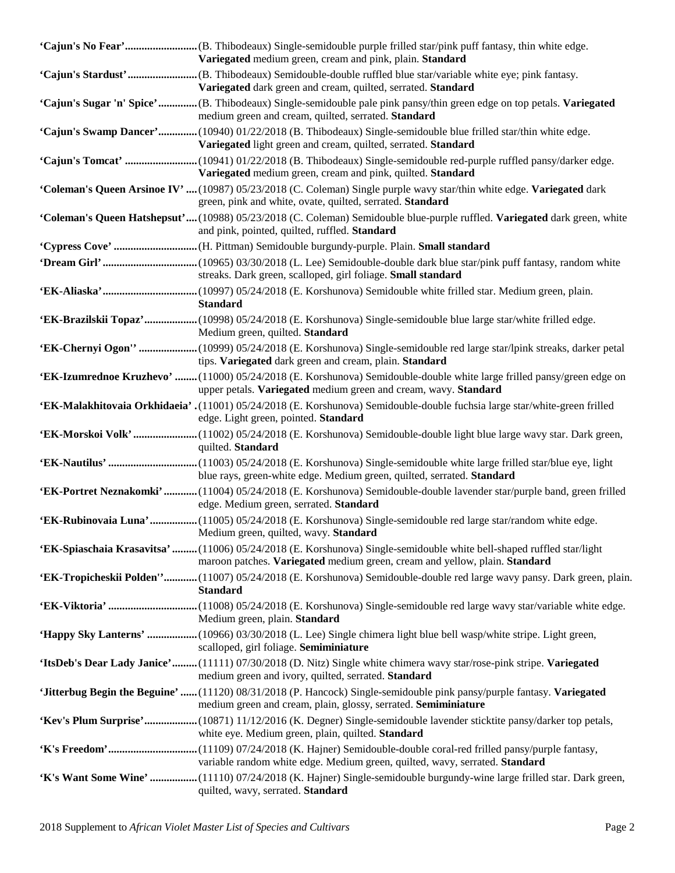| Variegated medium green, cream and pink, plain. Standard                                                                                                                                           |
|----------------------------------------------------------------------------------------------------------------------------------------------------------------------------------------------------|
| Variegated dark green and cream, quilted, serrated. Standard                                                                                                                                       |
| 'Cajun's Sugar 'n' Spice'(B. Thibodeaux) Single-semidouble pale pink pansy/thin green edge on top petals. Variegated<br>medium green and cream, quilted, serrated. Standard                        |
| 'Cajun's Swamp Dancer'(10940) 01/22/2018 (B. Thibodeaux) Single-semidouble blue frilled star/thin white edge.<br>Variegated light green and cream, quilted, serrated. Standard                     |
| 'Cajun's Tomcat' (10941) 01/22/2018 (B. Thibodeaux) Single-semidouble red-purple ruffled pansy/darker edge.<br>Variegated medium green, cream and pink, quilted. Standard                          |
| 'Coleman's Queen Arsinoe IV'  (10987) 05/23/2018 (C. Coleman) Single purple wavy star/thin white edge. Variegated dark<br>green, pink and white, ovate, quilted, serrated. Standard                |
| 'Coleman's Queen Hatshepsut'(10988) 05/23/2018 (C. Coleman) Semidouble blue-purple ruffled. Variegated dark green, white<br>and pink, pointed, quilted, ruffled. Standard                          |
|                                                                                                                                                                                                    |
| streaks. Dark green, scalloped, girl foliage. Small standard                                                                                                                                       |
| <b>Standard</b>                                                                                                                                                                                    |
| 'EK-Brazilskii Topaz'(10998) 05/24/2018 (E. Korshunova) Single-semidouble blue large star/white frilled edge.<br>Medium green, quilted. Standard                                                   |
| 'EK-Chernyi Ogon''  (10999) 05/24/2018 (E. Korshunova) Single-semidouble red large star/lpink streaks, darker petal<br>tips. Variegated dark green and cream, plain. Standard                      |
| 'EK-Izumrednoe Kruzhevo' (11000) 05/24/2018 (E. Korshunova) Semidouble-double white large frilled pansy/green edge on<br>upper petals. Variegated medium green and cream, wavy. Standard           |
| 'EK-Malakhitovaia Orkhidaeia'. (11001) 05/24/2018 (E. Korshunova) Semidouble-double fuchsia large star/white-green frilled<br>edge. Light green, pointed. Standard                                 |
| quilted. Standard                                                                                                                                                                                  |
| blue rays, green-white edge. Medium green, quilted, serrated. Standard                                                                                                                             |
| 'EK-Portret Neznakomki'(11004) 05/24/2018 (E. Korshunova) Semidouble-double lavender star/purple band, green frilled<br>edge. Medium green, serrated. Standard                                     |
| 'EK-Rubinovaia Luna'(11005) 05/24/2018 (E. Korshunova) Single-semidouble red large star/random white edge.<br>Medium green, quilted, wavy. <b>Standard</b>                                         |
| 'EK-Spiaschaia Krasavitsa' (11006) 05/24/2018 (E. Korshunova) Single-semidouble white bell-shaped ruffled star/light<br>maroon patches. Variegated medium green, cream and yellow, plain. Standard |
| 'EK-Tropicheskii Polden''(11007) 05/24/2018 (E. Korshunova) Semidouble-double red large wavy pansy. Dark green, plain.<br><b>Standard</b>                                                          |
| Medium green, plain. Standard                                                                                                                                                                      |
| 'Happy Sky Lanterns'  (10966) 03/30/2018 (L. Lee) Single chimera light blue bell wasp/white stripe. Light green,<br>scalloped, girl foliage. Semiminiature                                         |
| 'ItsDeb's Dear Lady Janice'(11111) 07/30/2018 (D. Nitz) Single white chimera wavy star/rose-pink stripe. Variegated<br>medium green and ivory, quilted, serrated. Standard                         |
| 'Jitterbug Begin the Beguine'  (11120) 08/31/2018 (P. Hancock) Single-semidouble pink pansy/purple fantasy. Variegated<br>medium green and cream, plain, glossy, serrated. Semiminiature           |
| 'Kev's Plum Surprise'(10871) 11/12/2016 (K. Degner) Single-semidouble lavender sticktite pansy/darker top petals,<br>white eye. Medium green, plain, quilted. Standard                             |
| variable random white edge. Medium green, quilted, wavy, serrated. Standard                                                                                                                        |
| 'K's Want Some Wine'  (11110) 07/24/2018 (K. Hajner) Single-semidouble burgundy-wine large frilled star. Dark green,<br>quilted, wavy, serrated. Standard                                          |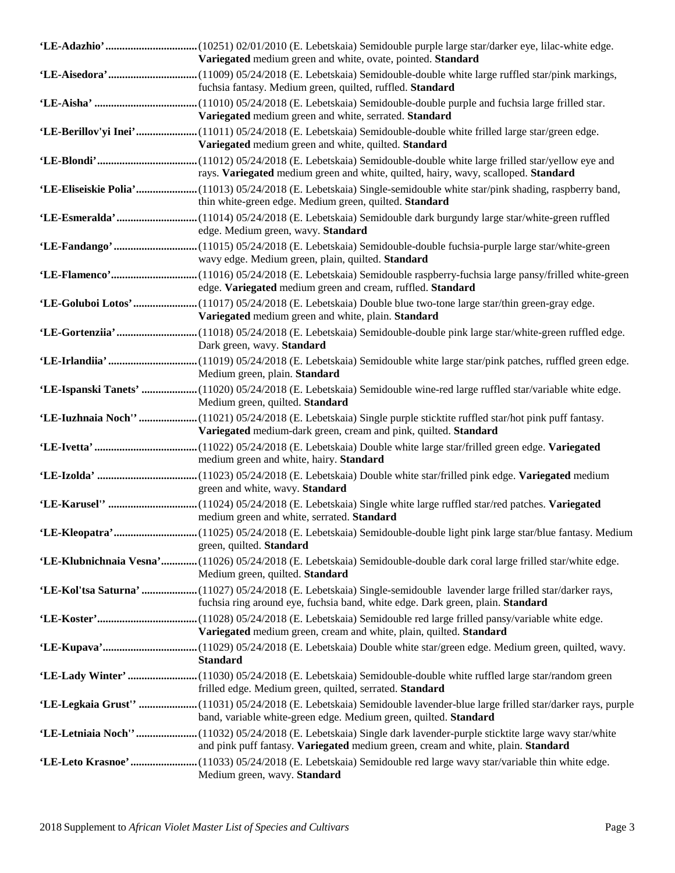| Variegated medium green and white, ovate, pointed. Standard                                                                                                                                             |
|---------------------------------------------------------------------------------------------------------------------------------------------------------------------------------------------------------|
| fuchsia fantasy. Medium green, quilted, ruffled. Standard                                                                                                                                               |
| Variegated medium green and white, serrated. Standard                                                                                                                                                   |
| 'LE-Berillov'yi Inei'(11011) 05/24/2018 (E. Lebetskaia) Semidouble-double white frilled large star/green edge.<br>Variegated medium green and white, quilted. Standard                                  |
| rays. Variegated medium green and white, quilted, hairy, wavy, scalloped. Standard                                                                                                                      |
| 'LE-Eliseiskie Polia'(11013) 05/24/2018 (E. Lebetskaia) Single-semidouble white star/pink shading, raspberry band,<br>thin white-green edge. Medium green, quilted. Standard                            |
| edge. Medium green, wavy. Standard                                                                                                                                                                      |
| wavy edge. Medium green, plain, quilted. Standard                                                                                                                                                       |
| edge. Variegated medium green and cream, ruffled. Standard                                                                                                                                              |
| Variegated medium green and white, plain. Standard                                                                                                                                                      |
| Dark green, wavy. Standard                                                                                                                                                                              |
| Medium green, plain. Standard                                                                                                                                                                           |
| 'LE-Ispanski Tanets'  (11020) 05/24/2018 (E. Lebetskaia) Semidouble wine-red large ruffled star/variable white edge.<br>Medium green, quilted. Standard                                                 |
| 'LE-Iuzhnaia Noch''  (11021) 05/24/2018 (E. Lebetskaia) Single purple sticktite ruffled star/hot pink puff fantasy.<br>Variegated medium-dark green, cream and pink, quilted. Standard                  |
| medium green and white, hairy. Standard                                                                                                                                                                 |
| green and white, wavy. Standard                                                                                                                                                                         |
| medium green and white, serrated. Standard                                                                                                                                                              |
| green, quilted. Standard                                                                                                                                                                                |
| 'LE-Klubnichnaia Vesna' (11026) 05/24/2018 (E. Lebetskaia) Semidouble-double dark coral large frilled star/white edge.<br>Medium green, quilted. Standard                                               |
| 'LE-Kol'tsa Saturna'  (11027) 05/24/2018 (E. Lebetskaia) Single-semidouble lavender large frilled star/darker rays,<br>fuchsia ring around eye, fuchsia band, white edge. Dark green, plain. Standard   |
| Variegated medium green, cream and white, plain, quilted. Standard                                                                                                                                      |
| <b>Standard</b>                                                                                                                                                                                         |
| frilled edge. Medium green, quilted, serrated. Standard                                                                                                                                                 |
| 'LE-Legkaia Grust'' (11031) 05/24/2018 (E. Lebetskaia) Semidouble lavender-blue large frilled star/darker rays, purple<br>band, variable white-green edge. Medium green, quilted. Standard              |
| 'LE-Letniaia Noch''  (11032) 05/24/2018 (E. Lebetskaia) Single dark lavender-purple sticktite large wavy star/white<br>and pink puff fantasy. Variegated medium green, cream and white, plain. Standard |
| Medium green, wavy. Standard                                                                                                                                                                            |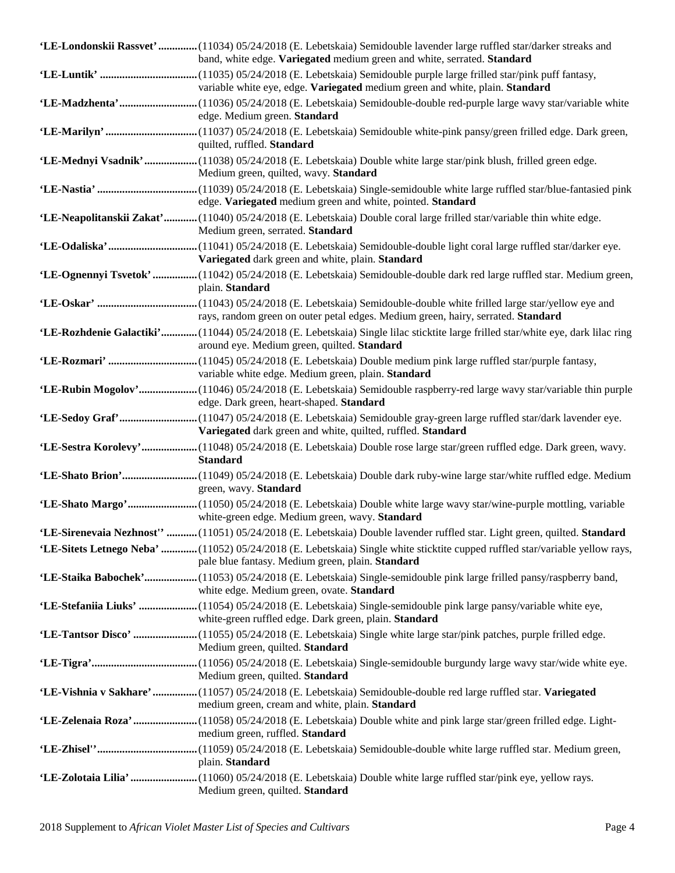| 'LE-Londonskii Rassvet'  (11034) 05/24/2018 (E. Lebetskaia) Semidouble lavender large ruffled star/darker streaks and<br>band, white edge. Variegated medium green and white, serrated. Standard |
|--------------------------------------------------------------------------------------------------------------------------------------------------------------------------------------------------|
| variable white eye, edge. Variegated medium green and white, plain. Standard                                                                                                                     |
| edge. Medium green. Standard                                                                                                                                                                     |
| quilted, ruffled. Standard                                                                                                                                                                       |
| 'LE-Mednyi Vsadnik' (11038) 05/24/2018 (E. Lebetskaia) Double white large star/pink blush, frilled green edge.<br>Medium green, quilted, wavy. Standard                                          |
| edge. Variegated medium green and white, pointed. Standard                                                                                                                                       |
| 'LE-Neapolitanskii Zakat'(11040) 05/24/2018 (E. Lebetskaia) Double coral large frilled star/variable thin white edge.<br>Medium green, serrated. Standard                                        |
| Variegated dark green and white, plain. Standard                                                                                                                                                 |
| 'LE-Ognennyi Tsvetok'  (11042) 05/24/2018 (E. Lebetskaia) Semidouble-double dark red large ruffled star. Medium green,<br>plain. Standard                                                        |
| rays, random green on outer petal edges. Medium green, hairy, serrated. Standard                                                                                                                 |
| 'LE-Rozhdenie Galactiki'(11044) 05/24/2018 (E. Lebetskaia) Single lilac sticktite large frilled star/white eye, dark lilac ring<br>around eye. Medium green, quilted. Standard                   |
| variable white edge. Medium green, plain. Standard                                                                                                                                               |
| 'LE-Rubin Mogolov'(11046) 05/24/2018 (E. Lebetskaia) Semidouble raspberry-red large wavy star/variable thin purple<br>edge. Dark green, heart-shaped. Standard                                   |
| Variegated dark green and white, quilted, ruffled. Standard                                                                                                                                      |
| 'LE-Sestra Korolevy'(11048) 05/24/2018 (E. Lebetskaia) Double rose large star/green ruffled edge. Dark green, wavy.<br><b>Standard</b>                                                           |
| green, wavy. Standard                                                                                                                                                                            |
| white-green edge. Medium green, wavy. Standard                                                                                                                                                   |
| 'LE-Sirenevaia Nezhnost'' (11051) 05/24/2018 (E. Lebetskaia) Double lavender ruffled star. Light green, quilted. Standard                                                                        |
| 'LE-Sitets Letnego Neba'  (11052) 05/24/2018 (E. Lebetskaia) Single white sticktite cupped ruffled star/variable yellow rays,<br>pale blue fantasy. Medium green, plain. Standard                |
| 'LE-Staika Babochek'(11053) 05/24/2018 (E. Lebetskaia) Single-semidouble pink large frilled pansy/raspberry band,<br>white edge. Medium green, ovate. Standard                                   |
| 'LE-Stefaniia Liuks'  (11054) 05/24/2018 (E. Lebetskaia) Single-semidouble pink large pansy/variable white eye,<br>white-green ruffled edge. Dark green, plain. Standard                         |
| Medium green, quilted. Standard                                                                                                                                                                  |
| Medium green, quilted. Standard                                                                                                                                                                  |
| 'LE-Vishnia v Sakhare'  (11057) 05/24/2018 (E. Lebetskaia) Semidouble-double red large ruffled star. Variegated<br>medium green, cream and white, plain. Standard                                |
| 'LE-Zelenaia Roza'(11058) 05/24/2018 (E. Lebetskaia) Double white and pink large star/green frilled edge. Light-<br>medium green, ruffled. Standard                                              |
| plain. Standard                                                                                                                                                                                  |
| Medium green, quilted. Standard                                                                                                                                                                  |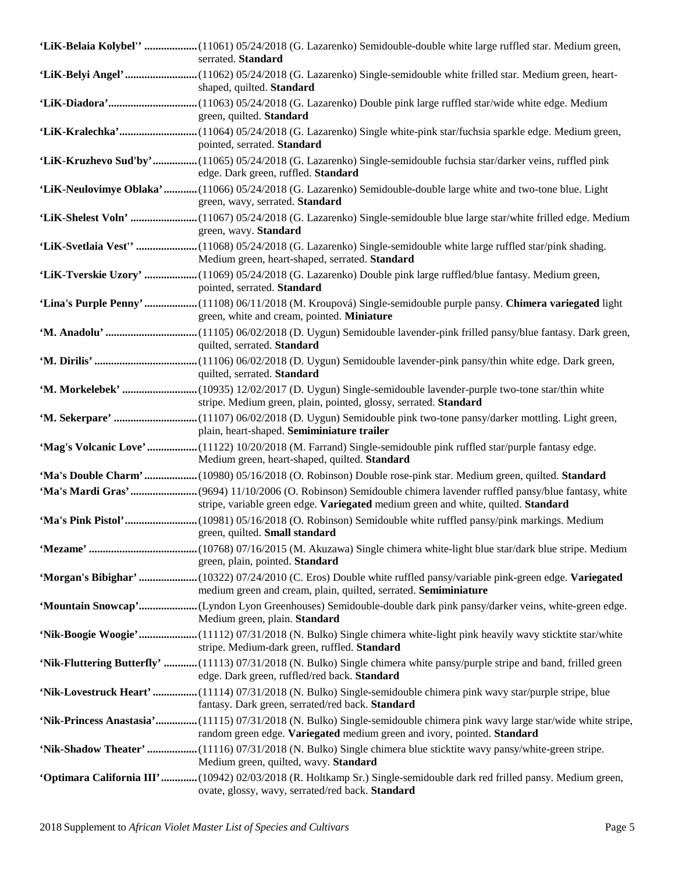| 'LiK-Belaia Kolybel''  (11061) 05/24/2018 (G. Lazarenko) Semidouble-double white large ruffled star. Medium green,<br>serrated. Standard                                                           |
|----------------------------------------------------------------------------------------------------------------------------------------------------------------------------------------------------|
| shaped, quilted. Standard                                                                                                                                                                          |
| green, quilted. Standard                                                                                                                                                                           |
| pointed, serrated. Standard                                                                                                                                                                        |
| 'LiK-Kruzhevo Sud'by'(11065) 05/24/2018 (G. Lazarenko) Single-semidouble fuchsia star/darker veins, ruffled pink<br>edge. Dark green, ruffled. Standard                                            |
| 'LiK-Neulovimye Oblaka'(11066) 05/24/2018 (G. Lazarenko) Semidouble-double large white and two-tone blue. Light<br>green, wavy, serrated. Standard                                                 |
| green, wavy. Standard                                                                                                                                                                              |
| Medium green, heart-shaped, serrated. Standard                                                                                                                                                     |
| 'LiK-Tverskie Uzory'  (11069) 05/24/2018 (G. Lazarenko) Double pink large ruffled/blue fantasy. Medium green,<br>pointed, serrated. Standard                                                       |
| 'Lina's Purple Penny'  (11108) 06/11/2018 (M. Kroupová) Single-semidouble purple pansy. Chimera variegated light<br>green, white and cream, pointed. Miniature                                     |
| quilted, serrated. Standard                                                                                                                                                                        |
| quilted, serrated. Standard                                                                                                                                                                        |
| 'M. Morkelebek'  (10935) 12/02/2017 (D. Uygun) Single-semidouble lavender-purple two-tone star/thin white<br>stripe. Medium green, plain, pointed, glossy, serrated. Standard                      |
| plain, heart-shaped. Semiminiature trailer                                                                                                                                                         |
| 'Mag's Volcanic Love'  (11122) 10/20/2018 (M. Farrand) Single-semidouble pink ruffled star/purple fantasy edge.<br>Medium green, heart-shaped, quilted. Standard                                   |
|                                                                                                                                                                                                    |
| stripe, variable green edge. Variegated medium green and white, quilted. Standard                                                                                                                  |
| green, quilted. <b>Small standard</b>                                                                                                                                                              |
| green, plain, pointed. Standard                                                                                                                                                                    |
| 'Morgan's Bibighar'  (10322) 07/24/2010 (C. Eros) Double white ruffled pansy/variable pink-green edge. Variegated<br>medium green and cream, plain, quilted, serrated. Semiminiature               |
| 'Mountain Snowcap'(Lyndon Lyon Greenhouses) Semidouble-double dark pink pansy/darker veins, white-green edge.<br>Medium green, plain. Standard                                                     |
| 'Nik-Boogie Woogie'(11112) 07/31/2018 (N. Bulko) Single chimera white-light pink heavily wavy sticktite star/white<br>stripe. Medium-dark green, ruffled. Standard                                 |
| 'Nik-Fluttering Butterfly' (11113) 07/31/2018 (N. Bulko) Single chimera white pansy/purple stripe and band, frilled green<br>edge. Dark green, ruffled/red back. Standard                          |
| 'Nik-Lovestruck Heart'  (11114) 07/31/2018 (N. Bulko) Single-semidouble chimera pink wavy star/purple stripe, blue<br>fantasy. Dark green, serrated/red back. Standard                             |
| 'Nik-Princess Anastasia'(11115) 07/31/2018 (N. Bulko) Single-semidouble chimera pink wavy large star/wide white stripe,<br>random green edge. Variegated medium green and ivory, pointed. Standard |
| 'Nik-Shadow Theater' (11116) 07/31/2018 (N. Bulko) Single chimera blue sticktite wavy pansy/white-green stripe.<br>Medium green, quilted, wavy. Standard                                           |
| 'Optimara California III' (10942) 02/03/2018 (R. Holtkamp Sr.) Single-semidouble dark red frilled pansy. Medium green,<br>ovate, glossy, wavy, serrated/red back. Standard                         |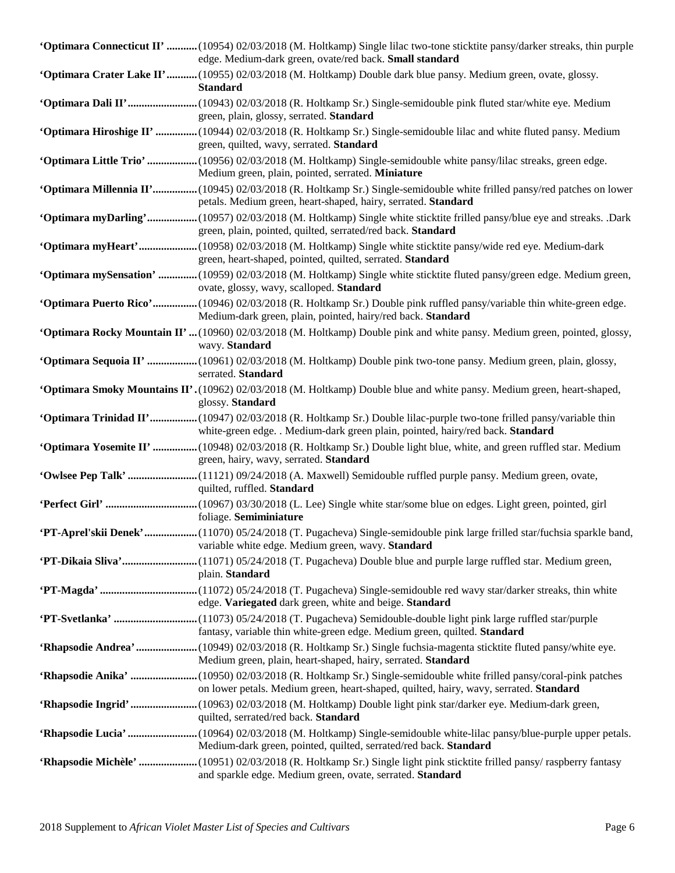| <b>'Optimara Connecticut II' </b> (10954) 02/03/2018 (M. Holtkamp) Single lilac two-tone sticktite pansy/darker streaks, thin purple<br>edge. Medium-dark green, ovate/red back. Small standard          |
|----------------------------------------------------------------------------------------------------------------------------------------------------------------------------------------------------------|
| <b>'Optimara Crater Lake II'</b> (10955) 02/03/2018 (M. Holtkamp) Double dark blue pansy. Medium green, ovate, glossy.<br><b>Standard</b>                                                                |
| green, plain, glossy, serrated. Standard                                                                                                                                                                 |
| 'Optimara Hiroshige II'  (10944) 02/03/2018 (R. Holtkamp Sr.) Single-semidouble lilac and white fluted pansy. Medium<br>green, quilted, wavy, serrated. Standard                                         |
| <b>'Optimara Little Trio'</b> (10956) 02/03/2018 (M. Holtkamp) Single-semidouble white pansy/lilac streaks, green edge.<br>Medium green, plain, pointed, serrated. Miniature                             |
| 'Optimara Millennia II'(10945) 02/03/2018 (R. Holtkamp Sr.) Single-semidouble white frilled pansy/red patches on lower<br>petals. Medium green, heart-shaped, hairy, serrated. Standard                  |
| 'Optimara myDarling'(10957) 02/03/2018 (M. Holtkamp) Single white sticktite frilled pansy/blue eye and streaks. .Dark<br>green, plain, pointed, quilted, serrated/red back. Standard                     |
| 'Optimara myHeart'(10958) 02/03/2018 (M. Holtkamp) Single white sticktite pansy/wide red eye. Medium-dark<br>green, heart-shaped, pointed, quilted, serrated. Standard                                   |
| 'Optimara mySensation'  (10959) 02/03/2018 (M. Holtkamp) Single white sticktite fluted pansy/green edge. Medium green,<br>ovate, glossy, wavy, scalloped. Standard                                       |
| 'Optimara Puerto Rico'(10946) 02/03/2018 (R. Holtkamp Sr.) Double pink ruffled pansy/variable thin white-green edge.<br>Medium-dark green, plain, pointed, hairy/red back. Standard                      |
| <b>'Optimara Rocky Mountain II' </b> (10960) 02/03/2018 (M. Holtkamp) Double pink and white pansy. Medium green, pointed, glossy,<br>wavy. Standard                                                      |
| <b>'Optimara Sequoia II' </b> (10961) 02/03/2018 (M. Holtkamp) Double pink two-tone pansy. Medium green, plain, glossy,<br>serrated. Standard                                                            |
| <b>Optimara Smoky Mountains II'.</b> (10962) 02/03/2018 (M. Holtkamp) Double blue and white pansy. Medium green, heart-shaped,<br>glossy. Standard                                                       |
| 'Optimara Trinidad II'(10947) 02/03/2018 (R. Holtkamp Sr.) Double lilac-purple two-tone frilled pansy/variable thin<br>white-green edge. . Medium-dark green plain, pointed, hairy/red back. Standard    |
| "Optimara Yosemite II"  (10948) 02/03/2018 (R. Holtkamp Sr.) Double light blue, white, and green ruffled star. Medium<br>green, hairy, wavy, serrated. Standard                                          |
| quilted, ruffled. Standard                                                                                                                                                                               |
| foliage. Semiminiature                                                                                                                                                                                   |
| 'PT-Aprel'skii Denek' (11070) 05/24/2018 (T. Pugacheva) Single-semidouble pink large frilled star/fuchsia sparkle band,<br>variable white edge. Medium green, wavy. Standard                             |
| <b>PT-Dikaia Sliva'</b> (11071) 05/24/2018 (T. Pugacheva) Double blue and purple large ruffled star. Medium green,<br>plain. Standard                                                                    |
| edge. Variegated dark green, white and beige. Standard                                                                                                                                                   |
| fantasy, variable thin white-green edge. Medium green, quilted. Standard                                                                                                                                 |
| 'Rhapsodie Andrea' (10949) 02/03/2018 (R. Holtkamp Sr.) Single fuchsia-magenta sticktite fluted pansy/white eye.<br>Medium green, plain, heart-shaped, hairy, serrated. Standard                         |
| 'Rhapsodie Anika' (10950) 02/03/2018 (R. Holtkamp Sr.) Single-semidouble white frilled pansy/coral-pink patches<br>on lower petals. Medium green, heart-shaped, quilted, hairy, wavy, serrated. Standard |
| 'Rhapsodie Ingrid'  (10963) 02/03/2018 (M. Holtkamp) Double light pink star/darker eye. Medium-dark green,<br>quilted, serrated/red back. Standard                                                       |
| Medium-dark green, pointed, quilted, serrated/red back. Standard                                                                                                                                         |
| 'Rhapsodie Michèle' (10951) 02/03/2018 (R. Holtkamp Sr.) Single light pink sticktite frilled pansy/raspberry fantasy<br>and sparkle edge. Medium green, ovate, serrated. Standard                        |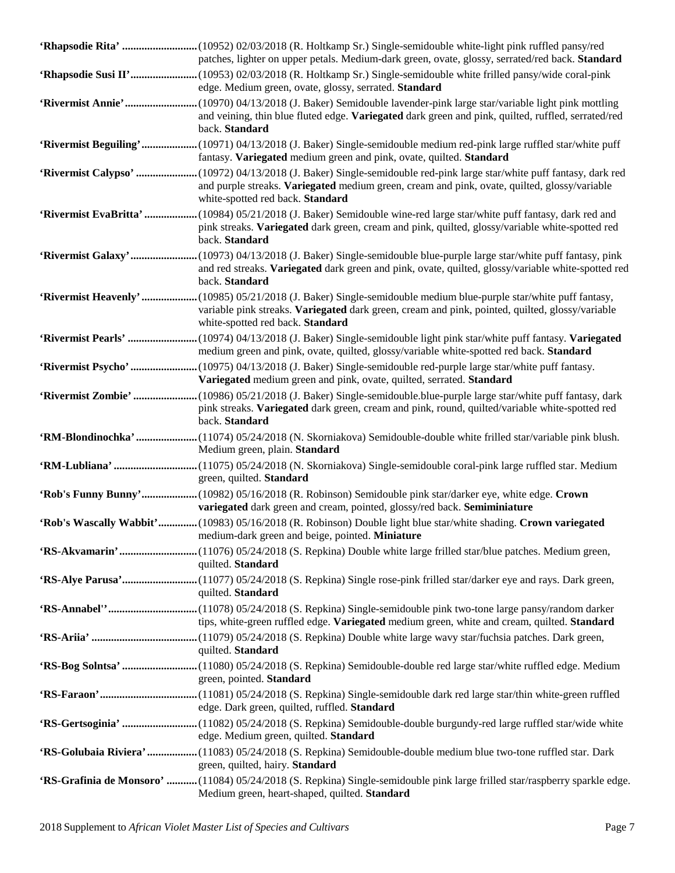| patches, lighter on upper petals. Medium-dark green, ovate, glossy, serrated/red back. Standard                                                                                                                                                          |
|----------------------------------------------------------------------------------------------------------------------------------------------------------------------------------------------------------------------------------------------------------|
| edge. Medium green, ovate, glossy, serrated. Standard                                                                                                                                                                                                    |
| and veining, thin blue fluted edge. Variegated dark green and pink, quilted, ruffled, serrated/red<br>back. Standard                                                                                                                                     |
| 'Rivermist Beguiling'(10971) 04/13/2018 (J. Baker) Single-semidouble medium red-pink large ruffled star/white puff<br>fantasy. Variegated medium green and pink, ovate, quilted. Standard                                                                |
| 'Rivermist Calypso' (10972) 04/13/2018 (J. Baker) Single-semidouble red-pink large star/white puff fantasy, dark red<br>and purple streaks. Variegated medium green, cream and pink, ovate, quilted, glossy/variable<br>white-spotted red back. Standard |
| 'Rivermist EvaBritta'  (10984) 05/21/2018 (J. Baker) Semidouble wine-red large star/white puff fantasy, dark red and<br>pink streaks. Variegated dark green, cream and pink, quilted, glossy/variable white-spotted red<br>back. Standard                |
| 'Rivermist Galaxy'(10973) 04/13/2018 (J. Baker) Single-semidouble blue-purple large star/white puff fantasy, pink<br>and red streaks. Variegated dark green and pink, ovate, quilted, glossy/variable white-spotted red<br>back. Standard                |
| 'Rivermist Heavenly'  (10985) 05/21/2018 (J. Baker) Single-semidouble medium blue-purple star/white puff fantasy,<br>variable pink streaks. Variegated dark green, cream and pink, pointed, quilted, glossy/variable<br>white-spotted red back. Standard |
| medium green and pink, ovate, quilted, glossy/variable white-spotted red back. Standard                                                                                                                                                                  |
| Variegated medium green and pink, ovate, quilted, serrated. Standard                                                                                                                                                                                     |
| pink streaks. Variegated dark green, cream and pink, round, quilted/variable white-spotted red<br>back. Standard                                                                                                                                         |
| Medium green, plain. Standard                                                                                                                                                                                                                            |
| green, quilted. Standard                                                                                                                                                                                                                                 |
|                                                                                                                                                                                                                                                          |
| 'Rob's Funny Bunny' (10982) 05/16/2018 (R. Robinson) Semidouble pink star/darker eye, white edge. Crown<br>variegated dark green and cream, pointed, glossy/red back. Semiminiature                                                                      |
| 'Rob's Wascally Wabbit'(10983) 05/16/2018 (R. Robinson) Double light blue star/white shading. Crown variegated<br>medium-dark green and beige, pointed. <b>Miniature</b>                                                                                 |
| quilted. Standard                                                                                                                                                                                                                                        |
| quilted. Standard                                                                                                                                                                                                                                        |
| tips, white-green ruffled edge. Variegated medium green, white and cream, quilted. Standard                                                                                                                                                              |
| quilted. Standard                                                                                                                                                                                                                                        |
| green, pointed. Standard                                                                                                                                                                                                                                 |
| edge. Dark green, quilted, ruffled. Standard                                                                                                                                                                                                             |
| 'RS-Gertsoginia' (11082) 05/24/2018 (S. Repkina) Semidouble-double burgundy-red large ruffled star/wide white<br>edge. Medium green, quilted. Standard                                                                                                   |
| 'RS-Golubaia Riviera'  (11083) 05/24/2018 (S. Repkina) Semidouble-double medium blue two-tone ruffled star. Dark<br>green, quilted, hairy. Standard                                                                                                      |